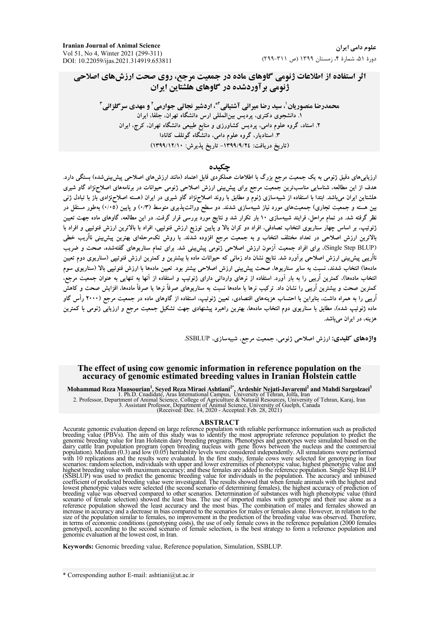**Iranian Journal of Animal Science** Vol 51, No 4, Winter 2021 (299-311) DOI: 10.22059/ijas.2021.314919.653811

# اثر استفاده از اطلاعات ژنومی گاوهای ماده در جمعیت مرجع، روی صحت ارزشهای اصلاحی ۔<br>ژنومے ، بر آوردشدہ در گاوهای هلشتاین ایران

محمدرضا منصوریان ٰ، سید رضا میرائی آشتیانی ؑ، اردشیر نجاتی جوارمی ؑ و مهدی سرگلزائی ؑ .<br>۱. دانشجوی دکتری، پردیس بینالمللی ارس دانشگاه تهران، جلفا، ایران ۲. استاد، گروه علوم دامی، پردیس کشاورزی و منابع طبیعی دانشگاه تهران، کرج، ایران .<br>۳ استادیار، گروه علوم دامی، دانشگاه گوئلف کانادا (تاريخ دريافت: ١٣٩٩/٩/٢٤ - تاريخ پذيرش: ١٣٩٩/١٢/١٠)

#### حكىدە

ارزیابیهای دقیق ژنومی به یک جمعیت مرجع بزرگ با اطلاعات عملکردی قابل اعتماد (مانند ارزشهای اصلاحی پیش بینیشده) بستگی دارد. هدف از این مطالعه، شناسایی مناسبترین جمعیت مرجع برای پیش بینی ارزش اصلاحی ژنومی حیوانات در برنامههای اصلاحنژاد گاو شیری هلشتاین ایران می،باشد. ابتدا با استفاده از شبیهسازی ژنوم و مطابق با روند اصلاحزژاد گاو شیری در ایران (هسته اصلاحزژادی باز با تبادل ژنی بین هسته و جمعیت تجاری) جمعیتهای مورد نیاز شبیهسازی شدند. دو سطح وراثتپذیری متوسط (۰/۳) و پایین (۰/۰۵) بهطور مستقل در نظر گرفته شد. در تمام مراحل، فرایند شبیهسازی ۱۰ بار تکرار شد و نتایج مورد بررسی قرار گرفت. در این مطالعه، گاوهای ماده جهت تعیین ژنوتیپ، بر اساس چهار سناریوی انتخاب تصادفی، افراد دو کران بالا و پایین توزیع ارزش فنوتیپی، افراد با بالاترین ارزش فنوتیپی و افراد با بالاترین ارزش اصلاحی در تعداد مختلف انتخاب و به جمعیت مرجع افزوده شدند. با روش تکمرحلهای بهترین پیش،پینی نااُریب خطی (Single Step BLUP)، برای افراد جمعیت آزمون ارزش اصلاحی ژنومی پیش بینی شد. برای تمام سناریوهای گفتهشده، صحت و ضریب نااُریبی پیش بینی ارزش اصلاحی برآورد شد. نتایج نشان داد زمانی که حیوانات ماده با بیشترین و کمترین ارزش فنوتیبی (سناریوی دوم تعیین مادهها) انتخاب شدند، نسبت به سایر سناریوها، صحت پیش،بینی ارزش اصلاحی بیشتر بود. تعیین مادهها با ارزش فنوتیبی بالا (سناریوی سوم انتخاب مادهها)، کمترین اُریبی را به بار آورد. استفاده از نرهای وارداتی دارای ژنوتیپ و استفاده از آنها به تنهایی به عنوان جمعیت مرجع، کمترین صحت و بیشترین اُریبی را نشان داد. ترکیب نرها با مادهها نسبت به سناریوهای صرفاً نرها یا صرفاً مادهها، افزایش صحت و کاهش اُریبی را به همراه داشت، بنابراین با احتساب هزینههای اقتصادی، تعیین ژنوتیپ، استفاده از گاوهای ماده در جمعیت مرجع (۲۰۰۰ رأس گاو ماده ژنوتیپ شده). مطابق با سناریوی دوم انتخاب مادهها، بهترین راهبرد پیشنهادی جهت تشکیل جمعیت مرجع و ارزیابی ژنومی با کمترین هزینه، در ایران می باشد.

واژههای کلیدی: ارزش اصلاحی ژنومی، جمعیت مرجع، شبیهسازی، SSBLUP.

#### The effect of using cow genomic information in reference population on the accuracy of genomic estimated breeding values in Iranian Holstein cattle

Mohammad Reza Mansourian<sup>1</sup>, Seyed Reza Miraei Ashtiani<sup>2\*</sup>, Ardeshir Nejati-Javaremi<sup>2</sup> and Mahdi Sargolzaei<sup>3</sup><br>1. Ph.D. Cnadidate, Aras International Campus, University of Tehran, Jolfa, Iran<br>2. Professor, Department of

**ABSTRACT**<br>**ACCURE ACCULAT CONGT CONGT ACCUTE ACCUTE ACCUTE ACT**<br>
breeding value (PBVs). The aim of this study was to identify the most appropriate reference population to predict the<br>
genomic breeding value for Iran Hols lowest phenotypic values were selected (the second scenario of determining females), the highest accuracy of prediction of breeding value was observed compared to other scenarios. Determination of substances with high phenotypic value (third<br>scenario of female selection) showed the least bias. The use of imported males with genotypic value (th size of the population similar to females, no improvement in the prediction of the breeding value was observed. Therefore, in terms of economic conditions (genotyping costs), the use of only female cows in the reference population (2000 females<br>genotyped), according to the second scenario of female selection, is the best strategy to form a ref genomic evaluation at the lowest cost, in Iran.

Keywords: Genomic breeding value, Reference population, Simulation, SSBLUP.

\* Corresponding author E-mail: ashtiani@ut.ac.ir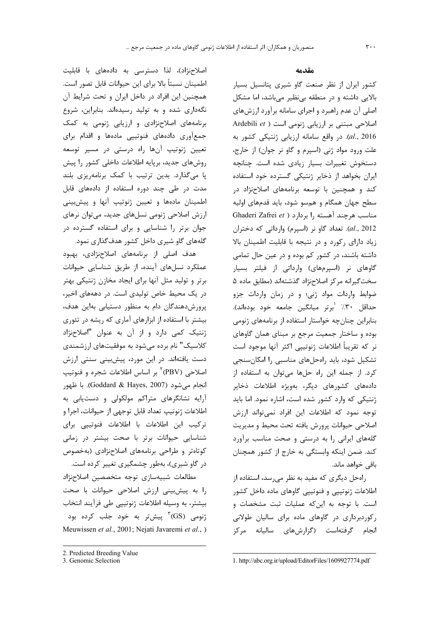اصلاحنژاد)، لذا دسترسی به دادههای با قابلیت اطمينان نسبتاً بالا براي اين حيوانات قابل تصور است. همچنین این افراد در داخل ایران و تحت شرایط آن نگهداری شده و به تولید رسیدهاند. بنابراین، شروع برنامههای اصلاحنژادی و ارزیابی ژنومی به کمک جمعآوری دادههای فنوتیپی مادهها و اقدام برای تعیین ژنوتیپ آنها راه درستی در مسیر توسعه روشهای جدید، برپایه اطلاعات داخلی کشور را پیش پا میگذارد. بدین ترتیب با کمک برنامهریزی بلند مدت در طی چند دوره استفاده از دادههای قابل اطمینان مادهها و تعیین ژنوتیپ آنها و پیشبینی ارزش اصلاحی ژنومی نسلهای جدید، میتوان نرهای جوان برتر را شناسایی و برای استفاده گسترده در گلههای گاو شیری داخل کشور هدف گذاری نمود.

هدف اصلی از برنامههای اصلاحنژادی، بهبود عملکرد نسلهای آینده، از طریق شناسایی حیوانات برتر و تولید مثل آنها برای ایجاد مخازن ژنتیکی بهتر در یک محیط خاص تولیدی است. در دهههای اخیر، پرورش دهندگان دام به منظور دستیابی بهاین هدف، بیشتر با استفاده از ابزارهای آماری که ریشه در تئوری ژنتیک کمی دارد و از آن به عنوان "اصلاحنژاد کلاسیک" نام برده می شود به موفقیتهای ارزشمندی دست یافتهاند. در این مورد، پیشبینی سنتی ارزش اصلاحی (PBV)<sup>۲</sup> بر اساس اطلاعات شجره و فنوتیپ انجام مي شود (Goddard & Hayes, 2007). با ظهور آرایه نشانگرهای متراکم مولکولی و دستیابی به اطلاعات ژنوتيپ تعداد قابل توجهي از حيوانات، اجرا و ترکیب این اطلاعات با اطلاعات فنوتیپی برای شناسایی حیوانات برتر با صحت بیشتر در زمانی کوتاهتر و طراحی برنامههای اصلاحنژادی (بهخصوص در گاو شیری)، بهطور چشمگیری تغییر کرده است. مطالعات شبيهسازى توجه متخصصين اصلاحنژاد را به پیشبینی ارزش اصلاحی حیوانات با صحت بيشتر، به وسيله اطلاعات ژنوتيپي طي فرآيند انتخاب ژنومی (GS<sup>)۳</sup> پیش¤ر به خود جلب کرده بود Meuwissen et al., 2001; Nejati Javaremi et al., )

#### مقدمه

کشور ایران از نظر صنعت گاو شیری پتانسیل بسیار بالایی داشته و در منطقه بی نظیر میباشد، اما مشکل اصلي آن عدم راهبرد و اجراي سامانه برآورد ارزشهاي Ardebili et ) اصلاحی مبتنی بر ارزیابی ژنومی است al., 2016). در واقع سامانه ارزيابي ژنتيكي كشور به علت ورود مواد ژنی (اسیرم و گاو نر جوان) از خارج، دستخوش تغییرات بسیار زیادی شده است. چنانچه ایران بخواهد از ذخایر ژنتیکی گسترده خود استفاده کند و همچنین با توسعه برنامههای اصلاحزژاد در سطح جهان همگام و همسو شود، باید قدمهای اولیه Ghaderi Zafrei et ) بردارد ( Ghaderi Zafrei et al., 2012). تعداد گاو نر (اسپرم) وارداتی که دختران زیاد دارای رکورد و در نتیجه با قابلیت اطمینان بالا داشته باشند، در کشور کم بوده و در عین حال تمامی گاوهای نر (اسپرمهای) وارداتی از فیلتر بسیار سخت گیرانه مرکز اصلاحنژاد گذشتهاند (مطابق ماده ۵ ضوابط واردات مواد ژنی؛ و در زمان واردات جزو حداقل ٣٠٪ <sup>'</sup>برتر ميانگين جامعه خود بودهاند). بنابراین چنان چه خواستار استفاده از برنامههای ژنومی بوده و ساختار جمعیت مرجع بر مبنای همان گاوهای نر که تقریباً اطلاعات ژنوتییی اکثر آنها موجود است تشکیل شود، باید راهحلهای مناسبی را امکانسنجی كرد. از جمله اين راه حلها مى توان به استفاده از دادههای کشورهای دیگر، بهویژه اطلاعات ذخایر ژنتیکی که وارد کشور شده است، اشاره نمود. اما باید توجه نمود که اطلاعات این افراد نمیتواند ارزش اصلاحي حيوانات پرورش يافته تحت محيط و مديريت گلههای ایرانی را به درستی و صحت مناسب برآورد کند. ضمن اینکه وابستگی به خارج از کشور همچنان باقے خواهد ماند.

راه حل دیگری که مفید به نظر می رسد، استفاده از اطلاعات ژنوتیپی و فنوتیپی گاوهای ماده داخل کشور است. با توجه به این که عملیات ثبت مشخصات و رکوردبرداری در گاوهای ماده برای سالیان طولانی انجام گرفتهاست (گزارشهای سالیانه مرکز

<sup>2.</sup> Predicted Breeding Value

<sup>3.</sup> Genomic Selection

<sup>1.</sup> http://abc.org.ir/upload/EditorFiles/1609927774.pdf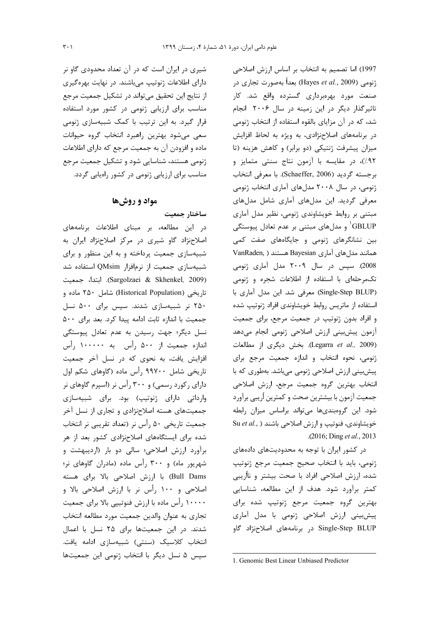شیری در ایران است که در آن تعداد محدودی گاو نر دارای اطلاعات ژنوتیپ میباشند. در نهایت بهرهگیری از نتایج این تحقیق می تواند در تشکیل جمعیت مرجع مناسب برای ارزیابی ژنومی در کشور مورد استفاده قرار گیرد. به این ترتیب با کمک شبیهسازی ژنومی سعی میشود بهترین راهبرد انتخاب گروه حیوانات ماده و افزودن آن به جمعیت مرجع که دارای اطلاعات ژنومی هستند، شناسایی شود و تشکیل جمعیت مرجع مناسب برای ارزیابی ژنومی در کشور راهیابی گردد.

# **مواد و روشها**

ساختار جمعیت در این مطالعه، بر مبنای اطلاعات برنامههای اصلاحنژاد گاو شیری در مرکز اصلاحنژاد ایران به شبیهسازی جمعیت پرداخته و به این منظور و برای شبیهسازی جمعیت از نرمافزار QMsim استفاده شد 320 1 A: .(Sargolzaei & Skhenkel*,* 2009) تاریخی (Historical Population) شامل ۲۵۰ ماده و ۲۵۰ نر شبیهسازی شدند. سپس برای ۵۰۰ نسل جمعیت با اندازه ثابت ادامه پیدا کرد. بعد برای ۵۰۰ نسل دیگر؛ جهت رسیدن به عدم تعادل پیوستگی اندازه جمعیت از ۵۰۰ رأس به ۱۰۰۰۰۰ رأس افزایش یافت، به نحوی که در نسل آخر جمعیت تاریخی شامل ۹۹۷۰۰ رأس ماده (گاوهای شکم اول دارای رکورد رسمی) و ۳۰۰ رأس نر (اسپرم گاوهای نر وارداتی دارای ژنوتیپ) بود. برای شبیهسازی جمعیتهای هسته اصلاحنژادی و تجاری از نسل آخر جمعیت تاریخی ۵۰ رأس نر (تعداد تقریبی نر انتخاب شده برای ایستگاههای اصلاحنژادی کشور بعد از هر برآورد ارزش اصلاحی؛ سالی دو بار (اردیبهشت و شهریور ماه) و ۳۰۰ رأس ماده (مادران گاوهای نر؛ Bull Dams) با ارزش اصلاحی بالا برای هسته اصلاحی و ۱۰۰ ,أس نر با ارزش اصلاحی بالا و ۱۰۰۰۰ رأس ماده با ارزش فنوتيپي بالا براي جمعيت تجاري به عنوان والدين جمعيت مورد مطالعه انتخاب شدند. در این جمعیتها برای ۲۵ نسل با اعمال انتخاب كلاسيك (سنتى) شبيهسازى ادامه يافت. سپس ۵ نسل دیگر با انتخاب ژنومی این جمعیتها

1997) اما تصميم به انتخاب بر اساس ارزش اصلاحي زنومي (Hayes *et al.*, 2009) بعداً بهصورت تجاري در صنعت مورد بهرهبرداری گسترده واقع شد. کار تاثیر گذار دیگر در این زمینه در سال ۲۰۰۶ انجام شد، که در آن مزایای بالقوه استفاده از انتخاب ژنومی در برنامههای اصلاحنژادی، به ویژه به لحاظ افزایش میزان پیشرفت ژنتیکی (دو برابر) و کاهش هزینه (تا ۹۲٪)، در مقایسه با آزمون نتاج سنتی متمایز و برجسته گرديد (Schaeffer, 2006). با معرفي انتخاب ژنومی، در سال ۲۰۰۸ مدلهای آماری انتخاب ژنومی معرفی گردید. این مدلهای آماری شامل مدلهای مبتنی بر روابط خویشاوندی ژنومی، نظیر مدل آماری GBLUP<sup>'</sup> و مدلهای مبتنی بر عدم تعادل پیوستگی بین نشانگرهای ژنومی و جایگاههای صفت کمی VanRaden, ) همانند مدل های آماری Bayesian هستند 2008). سپس در سال ۲۰۰۹ مدل آماری ژنومی تکمرحلهای با استفاده از اطلاعات شجره و ژنومی (Single-Step BLUP) معرفی شد. این مدل آماری با استفاده از ماتریس روابط خویشاوندی افراد ژنوتیپ شده و افراد بدون ژنوتیپ در جمعیت مرجع، برای جمعیت أزمون پيشبيني ارزش اصلاحي ژنومي انجام مىدهد (Legarra et al., 2009). بخش ديگرى از مطالعات ژنومی، نحوه انتخاب و اندازه جمعیت مرجع برای پیشبینی ارزش اصلاحی ژنومی میباشد. بهطوری که با انتخاب بهترين گروه جمعيت مرجع، ارزش اصلاحي جمعيت أزمون با بيشترين صحت و كمترين أريبي برآورد شود. این گروهبندیها میتواند براساس میزان رابطه خویشاوندی، فنوتیپ و ارزش اصلاحی باشند ( .Su *et al* .( 2016; Ding *et al.*, 2013

در کشور ایران با توجه به محدودیتهای دادههای ژنومی، باید با انتخاب صحیح جمعیت مرجع ژنوتیپ شده، ارزش اصلاحی افراد با صحت بیشتر و نااُریبی كمتر برآورد شود. هدف از اين مطالعه، شناسايي بهترين گروه جمعيت مرجع ژنوتيپ شده براي پیش بینی ارزش اصلاحی ژنومی با مدل آماری Single-Step BLUP در برنامههای اصلاحزژاد گاو

**.** 

<sup>1.</sup> Genomic Best Linear Unbiased Predictor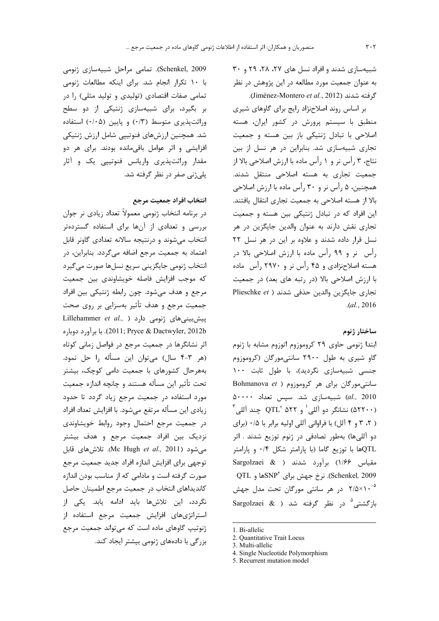شبیهسازی شدند و افراد نسل های ۲۷، ۲۸، ۲۹ و ۳۰ به عنوان جمعیت مورد مطالعه در این پژوهش در نظر گرفته شدند (Jiménez-Montero et al., 2012).

بر اساس روند اصلاحزژاد رایج برای گاوهای شیری منطبق با سیستم پرورش در کشور ایران، هسته اصلاحی با تبادل ژنتیکی باز بین هسته و جمعیت تجاری شبیهسازی شد. بنابراین در هر نسل از بین نتاج، ۳ رأس نر و ۱ رأس ماده با ارزش اصلاحی بالا از جمعیت تجاری به هسته اصلاحی منتقل شدند. همچنین، ۵ رأس نر و ۳۰ رأس ماده با ارزش اصلاحی بالا از هسته اصلاحی به جمعیت تجاری انتقال یافتند. این افراد که در تبادل ژنتیکی بین هسته و جمعیت تجاری نقش دارند به عنوان والدین جایگزین در هر نسل قرار داده شدند و علاوه بر این در هر نسل ٢٢ رأس نر و ۹۹ رأس ماده با ارزش اصلاحی بالا در هسته اصلاحنژادی و ۴۵ رأس نر و ۲۹۷۰ رأس ماده با ارزش اصلاحی بالا (در رتبه های بعد) در جمعیت تجارى جايگزين والدين حذفي شدند ( Plieschke et  $. (al., 2016)$ 

## ساختار ژنوم

ابتدا ژنومی حاوی ۲۹ کروموزوم اتوزوم مشابه با ژنوم گاو شیری به طول ۲۹۰۰ سانتیمورگان (کروموزوم جنسی شبیهسازی نگردید)، با طول ثابت ۱۰۰ Bohmanova et ) مر كروموزوم ( Bohmanova et al., 2010) شبیهسازی شد. سپس تعداد ۵۰۰۰۰ شانگر دو آللی ٔ و ۲۲ QTL چند آللی آ $\mathrm{QTL}^{\mathrm{r}}$  ها ( ٢، ٣ و ۴ آلل) با فراواني آللي اوليه برابر با ٠/۵ (براي دو آللیها) بهطور تصادفی در ژنوم توزیع شدند . اثر QTLها با توزیع گاما (با پارامتر شکل ۰/۴ و پارامتر Sargolzaei & ) برآورد شدند ( Sargolzaei &  $\mathrm{QTL}$  درخ جهش برای  $\mathrm{SNP}^\mathrm{t}$ ها و SNP $^\mathrm{t}$ . نرخ جهش برای ۲/۵×۱۰<sup>-۵</sup> در هر سانتی مورگان تحت مدل جهش بازگشتی<sup>0</sup> در نظر گرفته شد ( & Sargolzaei

Schenkel, 2009). تمامی مراحل شبیهسازی ژنومی با ١٠ تكرار انجام شد. براى اينكه مطالعات ژنومى تمامی صفات اقتصادی (تولیدی و تولید مثلی) را در بر بگیرد، برای شبیهسازی ژنتیکی از دو سطح وراثت یذیری متوسط (۰/۳) و پایین (۰/۰۵) استفاده شد. همچنین ارزشهای فنوتیپی شامل ارزش ژنتیکی افزایشی و اثر عوامل باقیمانده بودند. برای هر دو مقدار وراثتپذیری واریانس فنوتییی یک و آثار یلی;نی صفر در نظر گرفته شد.

### انتخاب افراد جمعيت مرجع

در برنامه انتخاب ژنومی معمولاً تعداد زیادی نر جوان بررسی و تعدادی از آنها برای استفاده گستردهتر انتخاب میشوند و درنتیجه سالانه تعدادی گاونر قابل اعتماد به جمعیت مرجع اضافه میگردد. بنابراین، در انتخاب ژنومی جایگزینی سریع نسلها صورت میگیرد كه موجب افزايش فاصله خويشاوندى بين جمعيت مرجع و هدف میشود. چون رابطه ژنتیکی بین افراد جمعیت مرجع و هدف تأثیر بهسزایی بر روی صحت Lillehammer et al., ) دارد ( Lillehammer et al., 2011; Pryce & Dactwyler, 2012b). با برآورد دوباره اثر نشانگرها در جمعیت مرجع در فواصل زمانی کوتاه (هر ٣-۴ سال) مى توان اين مسأله را حل نمود. بههرحال کشورهای با جمعیت دامی کوچک، بیشتر تحت تأثير اين مسأله هستند و چانچه اندازه جمعيت مورد استفاده در جمعیت مرجع زیاد گردد تا حدود زيادي اين مسأله مرتفع ميشود. با افزايش تعداد افراد در جمعیت مرجع احتمال وجود روابط خویشاوندی نزدیک بین افراد جمعیت مرجع و هدف بیشتر می شود (Mc Hugh et al., 2011). تلاش های قابل توجهي براي افزايش اندازه افراد جديد جمعيت مرجع صورت گرفته است و مادامی که از مناسب بودن اندازه كانديداهاي انتخاب در جمعيت مرجع اطمينان حاصل نگردد، این تلاشها باید ادامه یابد. یکی از استراتژیهای افزایش جمعیت مرجع استفاده از ژنوتیپ گاوهای ماده است که می تواند جمعیت مرجع بزرگی با دادههای ژنومی بیشتر ایجاد کند.

<sup>1.</sup> Bi-allelic

<sup>2.</sup> Ouantitative Trait Locus

<sup>3.</sup> Multi-allelic

<sup>4.</sup> Single Nucleotide Polymorphism

<sup>5.</sup> Recurrent mutation model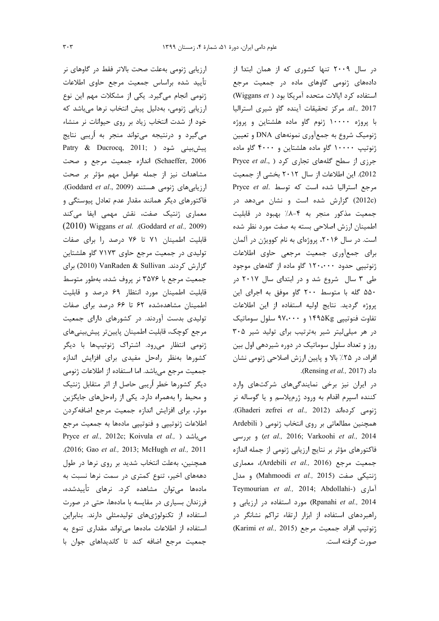ارزیابی ژنومی بهعلت صحت بالاتر فقط در گاوهای نر تأييد شده براساس جمعيت مرجع حاوى اطلاعات ژنومی انجام میگیرد. یکی از مشکلات مهم این نوع ارزیابی ژنومی، بهدلیل پیش انتخاب نرها می باشد که خود از شدت انتخاب زیاد بر روی حیوانات نر منشاء می گیرد و درنتیجه می تواند منجر به اُریبی نتایج Patry & Ducrocq, 2011; ) بیشبینی شود Schaeffer, 2006) اندازه جمعیت مرجع و صحت مشاهدات نیز از جمله عوامل مهم مؤثر بر صحت ارزيابى هاى ژنومى هستند (Goddard et al., 2009). فاکتورهای دیگر همانند مقدار عدم تعادل پیوستگی و معماری ژنتیک صفت، نقش مهمی ایفا میکند (2010) Wiggans et al. .(Goddard et al., 2009) قابلیت اطمینان ۷۱ تا ۷۶ درصد را برای صفات تولیدی در جمعیت مرجع حاوی ۷۱۷۳ گاو هلشتاین گزارش کردند. VanRaden & Sullivan (2010) برای جمعیت مرجع با ۳۵۷۶ نر پروف شده، بهطور متوسط قابلیت اطمینان مورد انتظار ۶۹ درصد و قابلیت اطمینان مشاهدهشده ۶۲ تا ۶۶ درصد برای صفات تولیدی بدست آوردند. در کشورهای دارای جمعیت مرجع كوچك، قابليت اطمينان پايينتر پيشبينيهاي ژنومی انتظار می رود. اشتراک ژنوتیپها با دیگر كشورها بهنظر راهحل مفيدى براى افزايش اندازه جمعیت مرجع میباشد. اما استفاده از اطلاعات ژنومی دیگر کشورها خطر اُریبی حاصل از اثر متقابل ژنتیک و محیط را بههمراه دارد. یکی از راهحلهای جایگزین موثر، برای افزایش اندازه جمعیت مرجع اضافه کردن اطلاعات ژنوتیپی و فنوتیپی مادهها به جمعیت مرجع Pryce et al., 2012c; Koivula et al., ) میباشد .(2016; Gao et al., 2013; McHugh et al., 2011 همچنین، بهعلت انتخاب شدید بر روی نرها در طول دهههای اخیر، تنوع کمتری در سمت نرها نسبت به مادەھا مىتوان مشاھدە كرد. نرھاى تأييدشدە، فرزندان بسیاری در مقایسه با مادهها، حتی در صورت استفاده از تکنولوژیهای تولیدمثلی دارند. بنابراین استفاده از اطلاعات مادهها می تواند مقداری تنوع به جمعیت مرجع اضافه کند تا کاندیداهای جوان با

در سال ۲۰۰۹ تنها کشوری که از همان ابتدا از دادههای ژنومی گاوهای ماده در جمعیت مرجع استفاده کرد ایالات متحده آمریکا بود ( Wiggans et) al., 2017. مركز تحقيقات آينده كاو شيرى استراليا با پروژه ۱۰۰۰۰ ژنوم گاو ماده هلشتاین و پروژه ژنومیک شروع به جمعآوری نمونههای DNA و تعیین ژنوتیپ ۱۰۰۰۰ گاو ماده هلشتاین و ۴۰۰۰ گاو ماده Pryce et al., ) برزی از سطح گلههای تجاری کرد 2012). این اطلاعات از سال ۲۰۱۲ بخشی از جمعیت Pryce et al. مرجع استراليا شده است كه توسط (2012c) گزارش شده است و نشان می دهد در جمعیت مذکور منجر به ۴-۸٪ بهبود در قابلیت اطمینان ارزش اصلاحی بسته به صفت مورد نظر شده است. در سال ۲۰۱۶، پروژهای به نام کوویژن در آلمان برای جمع آوری جمعیت مرجعی حاوی اطلاعات ژنوتییی حدود ۱۲۰،۰۰۰ گاو ماده از گلههای موجود طی ۳ سال شروع شد و در ابتدای سال ۲۰۱۷ در ۵۵۰ گله با متوسط ۲۰۰ گاو موفق به اجرای این پروژه گردید. نتایج اولیه استفاده از این اطلاعات تفاوت فنوتییی ۱۴۹۵Kg و ۹۷،۰۰۰ سلول سوماتیک در هر میلی لیتر شیر بهترتیب برای تولید شیر ۳۰۵ روز و تعداد سلول سوماتیک در دوره شیردهی اول بین افراد، در ۲۵٪ بالا و پایین ارزش اصلاحی ژنومی نشان داد (Rensing et al., 2017).

در ایران نیز برخی نمایندگیهای شرکتهای وارد کننده اسپرم اقدام به ورود ژرمپلاسم و یا گوساله نر .(Ghaderi zefrei et al., 2012). (Ghaderi zefrei et al., 2012). همچنین مطالعاتی بر روی انتخاب ژنومی ( Ardebili et al., 2016; Varkoohi et al., 2014) و بررسی فاكتورهاي مؤثر بر نتايج ارزيابي ژنومي از جمله اندازه جمعيت مرجع (Ardebili et al., 2016)، معمارى و نتيكي صفت (Mahmoodi *et al.,* 2015) و مدل Teymourian et al., 2014; Abdollahi-) آماری Rpanahi et al., 2014) مورد استفاده در ارزیابی و راهبردهای استفاده از ابزار ارتقاء تراکم نشانگر در (Karimi et al., 2015) مرجع (Karimi et al., 2015) صورت گرفته است.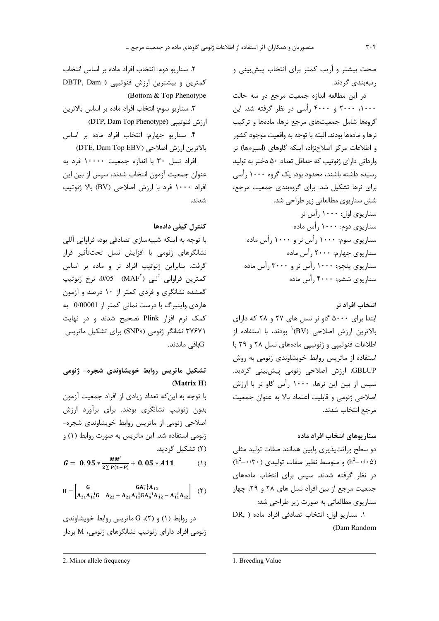صحت بیشتر و اُریب کمتر برای انتخاب پیش بینی و ر تبەبندى گردند.

در اين مطالعه اندازه جمعيت مرجع در سه حالت ۲۰۰۰، ۲۰۰۰ و ۴۰۰۰ رأسی در نظر گرفته شد. این گروهها شامل جمعیتهای مرجع نرها، مادهها و ترکیب نرها و مادهها بودند. البته با توجه به واقعیت موجود کشور و اطلاعات مركز اصلاحنژاد، اينكه گاوهاى (اسپرمها) نر وارداتی دارای ژنوتیپ که حداقل تعداد ۵۰ دختر به تولید رسیده داشته باشند، محدود بود، یک گروه ۱۰۰۰ رأسی برای نرها تشکیل شد. برای گروهبندی جمعیت مرجع، شش سناریوی مطالعاتی زیر طراحی شد. سناریوی اول: ۱۰۰۰ رأس نر سناریوی دوم: ۱۰۰۰ رأس ماده سناریوی سوم: ۱۰۰۰ رأس نر و ۱۰۰۰ رأس ماده سناریوی چهارم: ۲۰۰۰ رأس ماده سناریوی پنجم: ۱۰۰۰ رأس نر و ۳۰۰۰ رأس ماده سناریوی ششم: ۴۰۰۰ , أس ماده

انتخاب افراد نر ابتدا برای ۵۰۰۰ گاو نر نسل های ۲۷ و ۲۸ که دارای بالاترين ارزش اصلاحي (BV<sup>)</sup> بودند، با استفاده از اطلاعات فنوتییی و ژنوتییی مادههای نسل ۲۸ و ۲۹ با استفاده از ماتریس روابط خویشاوندی ژنومی به روش GBLUP، ارزش اصلاحی ژنومی پیشبینی گردید. سیس از بین این نرها، ۱۰۰۰ رأس گاو نر با ارزش اصلاحی ژنومی و قابلیت اعتماد بالا به عنوان جمعیت مرجع انتخاب شدند.

## سناريوهاي انتخاب افراد ماده

دو سطح وراثت پذیری پایین همانند صفات تولید مثلی  $(h^2 = \cdot/\mathbf{r} \cdot)$ و متوسط نظیر صفات تولیدی ( $h^2 = \cdot/\mathbf{r} \cdot \Delta$ ) در نظر گرفته شدند. سپس برای انتخاب مادههای جمعیت مرجع از بین افراد نسل های ۲۸ و ۲۹، چهار سناریوی مطالعاتی به صورت زیر طراحی شد: ١. سناريو اول: انتخاب تصادفي افراد ماده ( .DR

(Dam Random

٢. سناريو دوم: انتخاب افراد ماده بر اساس انتخاب کمترین و بیشترین ارزش فنوتیپی ( DBTP, Dam (Bottom & Top Phenotype

٣. سناريو سوم: انتخاب افراد ماده بر اساس بالاترين ارزش فنوتییی (DTP, Dam Top Phenotype)

۴. سناریو چهارم: انتخاب افراد ماده بر اساس بالاترين ارزش اصلاحي (DTE, Dam Top EBV)

افراد نسل ۳۰ با اندازه جمعیت ۱۰۰۰۰ فرد به عنوان جمعیت آزمون انتخاب شدند، سیس از بین این افراد ۱۰۰۰ فرد با ارزش اصلاحی (BV) بالا ژنوتیپ شدند.

كنترل كيفي دادهها

با توجه به اینکه شبیهسازی تصادفی بود، فراوانی آللی نشانگرهای ژنومی با افزایش نسل تحتتأثیر قرار گرفت. بنابراین ژنوتیپ افراد نر و ماده بر اساس كمترين فراواني آللي (MAF<sup>۲</sup>) 0/05، نرخ ژنوتيپ گمشده نشانگری و فردی کمتر از ۱۰ درصد و آزمون هاردی واینبرگ با درست نمائی کمتر از 0/00001 به کمک نرم افزار Plink تصحیح شدند و در نهایت ۳۷۶۷۱ نشانگر ژنومی (SNPs) برای تشکیل ماتریس باقى ماندند. $\rm{G}$ 

# تشکیل ماتریس روابط خویشاوندی شجره- ژنومی (Matrix H)

با توجه به این که تعداد زیادی از افراد جمعیت آزمون بدون ژنوتیپ نشانگری بودند. برای برآورد ارزش اصلاحی ژنومی از ماتریس روابط خویشاوندی شجره-ژنومی استفاده شد. این ماتریس به صورت روابط (۱) و (۲) تشکیل گردید.

$$
G = 0.95 * \frac{MM'}{2\Sigma P(1-P)} + 0.05 * A11
$$
 (1)

$$
H = \begin{bmatrix} G & G A_{11}^{-1} A_{12} \\ A_{21} A_{11}^{-1} G & A_{22} + A_{22} A_{11}^{-1} G A_{n}^{-1} A_{12} - A_{11}^{-1} A_{12} \end{bmatrix} (1)
$$

در روابط (۱) و (۲)، G ماتریس روابط خویشاوندی ژنومی افراد دارای ژنوتیپ نشانگرهای ژنومی، M بردار

<sup>2.</sup> Minor allele frequency

<sup>1.</sup> Breeding Value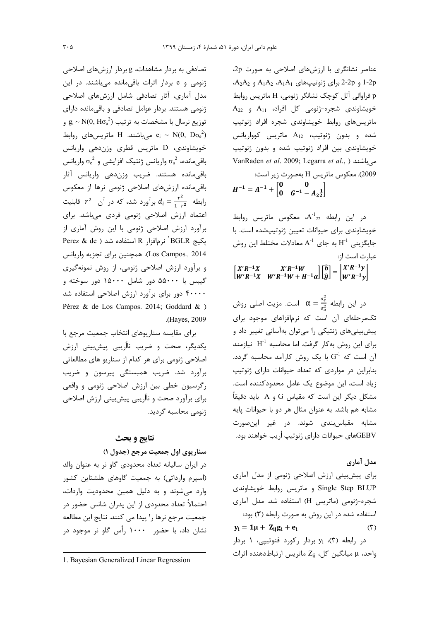عناصر نشانگری با ارزشهای اصلاحی به صورت 2p، 4-2p و 2-2p برای ژنوتیپهای A<sub>1</sub>A<sub>1</sub> و A<sub>2</sub>A<sub>2</sub>. p فراوانی آلل کوچک نشانگر ژنومی، H ماتریس روابط  $A_{22}$  خویشاوندی شجره-ژنومی کل افراد،  $A_{11}$  و ماتریسهای روابط خویشاوندی شجره افراد ژنوتیپ شده و بدون ژنوتیپ،  $A_{12}$  ماتریس کوواریانس خویشاوندی بین افراد ژنوتیپ شده و بدون ژنوتیپ VanRaden et al. 2009; Legarra et al., ) میباشند 2009). معكوس ماتريس H بهصورت زير است:  $H^{-1} = A^{-1} + \begin{bmatrix} 0 & 0 \\ 0 & G^{-1} - A^{-1} \\ 0 & 0 \end{bmatrix}$ 

 $\mathbf{A}^{-1}$ د، این رابطه  $\mathbf{A}^{-1}$ ، معکوس ماتریس روابط خویشاوندی برای حیوانات تعیین ژنوتیپشده است. با جایگزینی  $\mathrm{H}^{\text{-}1}$  به جای  $\mathrm{A}^{\text{-}1}$  معادلات مختلط این روش عبارت است از:

 $\begin{bmatrix} X'R^{-1}X & X'R^{-1}W \\ W'R^{-1}X & W'R^{-1}W + H^{-1}\alpha \end{bmatrix} \begin{bmatrix} \hat{b} \\ \hat{g} \end{bmatrix} = \begin{bmatrix} X'R^{-1}y \\ W'R^{-1}y \end{bmatrix}$ 

در این رابطه  $\frac{\sigma_e^2}{\sigma^2}=\alpha=\frac{\sigma_e^2}{\sigma^2}$  است. مزیت اصلی روش تکمرحلهای آن است که نرمافزاهای موجود برای پیشبینی های ژنتیکی را می توان بهآسانی تغییر داد و برای این روش بهکار گرفت. اما محاسبه  $\mathrm{H}^{\text{-}1}$  نیازمند آن است که  $\mathrm{G}^1$  با یک روش کارآمد محاسبه گردد. بنابراین در مواردی که تعداد حیوانات دارای ژنوتیپ زياد است، اين موضوع يک عامل محدودکننده است. مشکل دیگر این است که مقیاس  $\rm G$  و A باید دقیقاً مشابه هم باشد. به عنوان مثال هر دو با حیوانات پایه مشابه مقیاسبندی شوند. در غیر اینصورت GEBVهای حیوانات دارای ژنوتیپ اُریب خواهند بود.

# مدل آماري

برای پیشبینی ارزش اصلاحی ژنومی از مدل آماری Single Step BLUP و ماتریس روابط خویشاوندی شجره-ژنومی (ماتریس H) استفاده شد. مدل آماری استفاده شده در این روش به صورت رابطه (۳) بود:  $y_i = 1\mu + Z_{ii}g_i + e_i$  $(1)$ در رابطه (۳)، y<sub>i</sub> بردار رکورد فنوتیپی، ۱ بردار واحد، µ میانگین کل، Z<sub>ii</sub> ماتریس ارتباطدهنده اثرات

تصادفی به بردار مشاهدات، g بردار ارزش های اصلاحی ژنومی و e بردار اثرات باقی مانده می باشند. در این مدل آماری، آثار تصادفی شامل ارزشهای اصلاحی ژنومی هستند. بردار عوامل تصادفی و باقی مانده دارای  $\mathrm{g_i}\sim\mathrm{N}(0,\mathrm{H}\sigma_{\mathrm{a}}^{\mathrm{2}})$  توزیع نرمال با مشخصات به ترتیب  $e_i \sim N(0, D\sigma_e^2)$ میباشند. H ماتریس  $e_i \sim N(0, D\sigma_e^2)$ خویشاوندی، D ماتریس قطری وزندهی واریانس باقی مانده،  $\sigma_{\rm a}^{\, 2}$  واریانس ژنتیک افزایشی و  $\sigma_{\rm e}^{\, 2}$  واریانس .<br>باقیمانده هستند. ضریب وزندهی واریانس آثار باقی مانده ارزشهای اصلاحی ژنومی نرها از معکوس رابطه  $t^2 = \frac{r^2}{1 - r^2}$  برآورد شد، که در آن  $r^2$  قابلیت اعتماد ارزش اصلاحی ژنومی فردی میباشد. برای برآورد ارزش اصلاحی ژنومی با این روش آماری از Perez & de ) بكيج BGLR أنرم افزار R استفاده شد Los Campos., 2014). همچنین برای تجزیه واریانس و برآورد ارزش اصلاحی ژنومی، از روش نمونهگیری گیبس با ۵۵۰۰۰ دور شامل ۱۵۰۰۰ دور سوخته و ۴۰۰۰۰ دور برای برآورد ارزش اصلاحی استفاده شد Pérez & de Los Campos. 2014; Goddard & ) .(Haves, 2009)

برای مقایسه سناریوهای انتخاب جمعیت مرجع با یکدیگر، صحت و ضریب نااُریبی پیشبینی ارزش اصلاحی ژنومی برای هر کدام از سناریو های مطالعاتی برآورد شد. ضریب همبستگی پیرسون و ضریب رگرسیون خطی بین ارزش اصلاحی ژنومی و واقعی برای برآورد صحت و نااُریبی پیشبینی ارزش اصلاحی ژنومی محاسبه گردید.

# نتايج و بحث

سناريوي اول جمعيت مرجع (جدول ۱)

در ایران سالیانه تعداد محدودی گاو نر به عنوان والد (اسپرم وارداتی) به جمعیت گاوهای هلشتاین کشور وارد میشوند و به دلیل همین محدودیت واردات، احتمالاً تعداد محدودی از این پدران شانس حضور در جمعیت مرجع نرها را پیدا می کنند. نتایج این مطالعه نشان داد، با حضور ۱۰۰۰ , أس گاو نر موجود در

<sup>1.</sup> Bayesian Generalized Linear Regression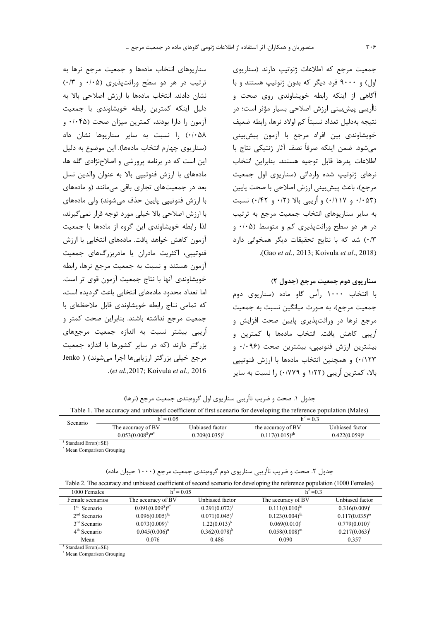جمعیت مرجع که اطلاعات ژنوتیپ دارند (سناریوی اول) و ۹۰۰۰ فرد دیگر که بدون ژنوتیپ هستند و با آگاهی از اینکه رابطه خویشاوندی روی صحت و نااُریبی پیش بینی ارزش اصلاحی بسیار مؤثر است؛ در نتيجه بهدليل تعداد نسبتاً كم اولاد نرها، رابطه ضعيف خویشاوندی بین افراد مرجع با آزمون پیش،بینی مىشود. ضمن اينكه صرفأ نصف آثار ژنتيكي نتاج با اطلاعات پدرها قابل توجيه هستند. بنابراين انتخاب رهای ژنوتیپ شده وارداتی (سناریوی اول جمعیت مرجع)، باعث پیش بینی ارزش اصلاحی با صحت پایین (۰/۱۱۷ و ۰/۱۱۷) و اُریبی بالا (۰/۴۲ و ۰/۴۲) نسبت به سایر سناریوهای انتخاب جمعیت مرجع به ترتیب  $\cdot$ (۰ هر دو سطح وراثت پذیری کم و متوسط (۰/۰۵ و ۰/۳) شد که با نتایج تحقیقات دیگر همخوانی دارد .(Gao *et al*., 2013; Koivula *et al*., 2018)

سنار يوي دوم جمعيت مرجع (جدول ٢)

با انتخاب ۱۰۰۰ رأس گاو ماده (سناریوی دوم جمعیت مرجع)، به صورت میانگین نسبت به جمعیت مرجع نرها در وراثتپذیری پایین صحت افزایش و اُريبي كاهش يافت. انتخاب مادهها با كمترين و بيشترين ارزش فنوتيپي، بيشترين صحت (۰/۰۹۶ و ۰/۱۲۳) و همچنین انتخاب مادهها با ارزش فنوتیپی بالا، كمترين أريبي (١/٢٢ و ٠/٧٧٩) را نسبت به ساير

سناريوهاى انتخاب مادهها و جمعيت مرجع نرها به ترتیب در هر دو سطح وراثتپذیری (۰/۰۵ و ۰/۰۳) نشان دادند. انتخاب مادهها با ارزش اصلاحی بالا به دلیل اینکه کمترین رابطه خویشاوندی با جمعیت آزمون را دارا بودند، کمترین میزان صحت (۰۴۵ و ۰/۰۵۸ .) انسبت به سایر سناریوها نشان داد (سناريوي چهارم انتخاب مادهها). اين موضوع به دليل این است که در برنامه پرورشی و اصلاحنژادی گله ها، مادههای با ارزش فنوتییی بالا به عنوان والدین نسل بعد در جمعیتهای تجاری باقی می مانند (و مادههای با ارزش فنوتيپي پايين حذف ميشوند) ولي مادههاي با ارزش اصلاحی بالا خیلی مورد توجه قرار نمی گیرند، لذا رابطه خویشاوندی این گروه از مادهها با جمعیت آزمون كاهش خواهد يافت. مادههاى انتخابى با ارزش فنوتیپی، اکثریت مادران یا مادربزرگهای جمعیت آزمون هستند و نسبت به جمعیت مرجع نرها، رابطه خويشاوندي آنها با نتاج جمعيت آزمون قوي تر است. اما تعداد محدود مادههای انتخابی باعث گردیده است، كه تمامى نتاج رابطه خويشاوندى قابل ملاحظهاى با جمعیت مرجع نداشته باشند. بنابراین صحت کمتر و اريبي بيشتر نسبت به اندازه جمعيت مرجعهاى بزرگتر دارند (که در سایر کشورها با اندازه جمعیت مرجع خيلي بزرگتر ارزيابيها اجرا ميشوند) ( Jenko .(*et al.,*2017; Koivula *et al.,* 2016

جدول ۱. صحت و ضریب نااُریبی سناریوی اول گروهبندی جمعیت مرجع (نرها)

Table 1. The accuracy and unbiased coefficient of first scenario for developing the reference population (Males)

| Scenario | $h^2$ = 0.05       |                             | $h^2 = 0.3$         |                    |  |
|----------|--------------------|-----------------------------|---------------------|--------------------|--|
|          | The accuracy of BV | Unbiased factor             | the accuracy of BV  | Unbiased factor    |  |
|          | $0.053(0.0085)m*$  | $0.209(0.035)$ <sup>1</sup> | $0.117(0.015)^{gh}$ | $0.422(0.059)^{g}$ |  |

\$ Standard Error(±SE)

\* Mean Comparison Grouping

جدول ۲. صحت و ضریب نااُریبی سناریوی دوم گروهبندی جمعیت مرجع (۱۰۰۰ حیوان ماده)

| Table 2. The accuracy and unbiased coefficient of second scenario for developing the reference population (1000 Females) |  |  |
|--------------------------------------------------------------------------------------------------------------------------|--|--|
|--------------------------------------------------------------------------------------------------------------------------|--|--|

| 1000 Females             | $h^2 = 0.05$        |                    | $h^2 = 0.3$         |                             |
|--------------------------|---------------------|--------------------|---------------------|-----------------------------|
| Female scenarios         | The accuracy of BV  | Unbiased factor    | The accuracy of BV  | Unbiased factor             |
| 1 <sup>st</sup> Scenario | $0.091(0.009s)g*$   | $0.291(0.072)^{1}$ | $0.111(0.010)^{h}$  | $0.316(0.009)^1$            |
| $2nd$ Scenario           | $0.096(0.005)^{fg}$ | $0.071(0.045)^1$   | $0.123(0.004)^{fg}$ | $0.117(0.035)^m$            |
| $3rd$ Scenario           | $0.073(0.009)$ hi   | $1.22(0.013)^{b}$  | $0.069(0.010)^1$    | $0.779(0.010)^e$            |
| $4th$ Scenario           | $0.045(0.006)^n$    | $0.362(0.078)^h$   | $0.058(0.008)^m$    | $0.217(0.063)$ <sup>1</sup> |
| Mean                     | 0.076               | 0.486              | 0.090               | 0.357                       |

\$ Standard Error(±SE)

\* Mean Comparison Grouping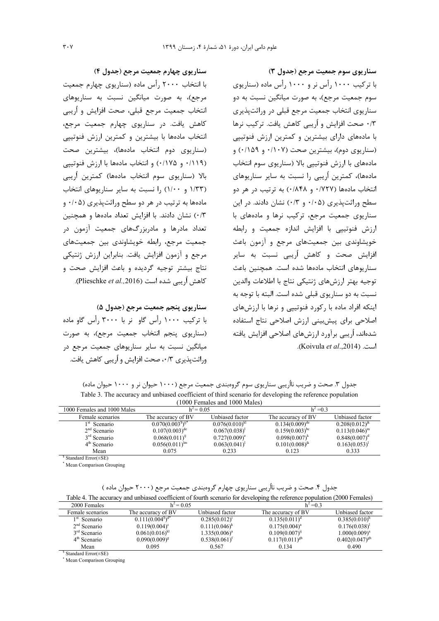سناريوي سوم جمعيت مرجع (جدول ٣) با ترکیب ۱۰۰۰ رأس نر و ۱۰۰۰ رأس ماده (سناریوی سوم جمعیت مرجع)، به صورت میانگین نسبت به دو سناریوی انتخاب جمعیت مرجع قبلی در وراثتپذیری ۰/۳ صحت افزایش و اُریبی کاهش یافت. ترکیب نرها با مادههای دارای بیشترین و کمترین ارزش فنوتییی (سناریوی دوم)، بیشترین صحت (۰/۱۰۷ و ۰/۱۵۹) و مادههای با ارزش فنوتییی بالا (سناریوی سوم انتخاب مادهها)، کمترین اُریبی را نسبت به سایر سناریوهای انتخاب مادهها (١٧٢٧ و ١٨۴٨) به ترتيب در هر دو سطح وراثت پذیری (۰/۰۵ و ۰/۳) نشان دادند. در این سناریوی جمعیت مرجع، ترکیب نرها و مادههای با ارزش فنوتییی با افزایش اندازه جمعیت و رابطه خویشاوندی بین جمعیتهای مرجع و آزمون باعث افزایش صحت و کاهش اُریبی نسبت به سایر سناريوهاي انتخاب مادهها شده است. همچنين باعث توجيه بهتر ارزشهاي ژنتيكي نتاج با اطلاعات والدين نسبت به دو سناريوي قبلي شده است. البته با توجه به اینکه افراد ماده با رکورد فنوتییی و نرها با ارزشهای اصلاحی برای پیش بینی ارزش اصلاحی نتاج استفاده شدهاند، اُریبی برآورد ارزشهای اصلاحی افزایش یافته است. (Koivula et al.,2014).

سناريوي چهارم جمعيت مرجع (جدول ۴)

با انتخاب ۲۰۰۰ رأس ماده (سناريوي چهارم جمعيت مرجع)، به صورت میانگین نسبت به سناریوهای انتخاب جمعیت مرجع قبلی، صحت افزایش و اُریبی کاهش یافت. در سناریوی چهارم جمعیت مرجع، انتخاب مادهها با بیشترین و کمترین ارزش فنوتیپی (سناريوي دوم انتخاب مادهها)، بيشترين صحت (۰/۱۱۹ و ۰/۱۷۵) و انتخاب مادهها با ارزش فنوتییی بالا (سناریوی سوم انتخاب مادهها) کمترین اُریبی (۱/۳۳ و ۱/۰۰) ,ا نسبت به سایر سناریوهای انتخاب مادهها به ترتیب در هر دو سطح وراثتیذیری (۰/۰۵ و ٠/٣) نشان دادند. با افزایش تعداد مادهها و همچنین ۔<br>تعداد مادرها و مادربزر*گ*ھای جمعیت آزمون در جمعیت مرجع، رابطه خویشاوندی بین جمعیتهای مرجع و آزمون افزایش یافت. بنابراین ارزش ژنتیکی نتاج بیشتر توجیه گردیده و باعث افزایش صحت و كاهش أريبي شده است (Plieschke et al.,2016).

سناريوي پنجم جمعيت مرجع (جدول ۵) با ترکیب ۱۰۰۰ ,اُس گاو نر با ۳۰۰۰ ,اُس گاو ماده (سناریوی پنجم انتخاب جمعیت مرجع)، به صورت میانگین نسبت به سایر سناریوهای جمعیت مرجع در وراثت پذیری ۰/۳، صحت افزایش و اُریبی کاهش یافت.

جدول ۳. صحت و ضریب نااُریبی سناریوی سوم گروهبندی جمعیت مرجع (۱۰۰۰ حیوان نر و ۱۰۰۰ حیوان ماده) Table 3. The accuracy and unbiased coefficient of third scenario for developing the reference population

| TOOO Peniales and TOOO Males) |                     |                        |                     |                     |  |  |
|-------------------------------|---------------------|------------------------|---------------------|---------------------|--|--|
| 1000 Females and 1000 Males   | $h^2 = 0.05$        |                        | $h^2 = 0.3$         |                     |  |  |
| Female scenarios              | The accuracy of BV  | Unbiased factor        | The accuracy of BV  | Unbiased factor     |  |  |
| $1st$ Scenario                | $0.070(0.0035)ij*$  | $0.076(0.010)^{kl}$    | $0.134(0.009)^{de}$ | $0.208(0.012)^{jk}$ |  |  |
| $2nd$ Scenario                | $0.107(0.003)^{de}$ | $0.067(0.038)^1$       | $0.159(0.003)^{bc}$ | $0.113(0.046)^m$    |  |  |
| $3rd$ Scenario                | $0.068(0.011)^{1}$  | $0.727(0.009)^{\circ}$ | $0.098(0.007)^{k}$  | $0.848(0.007)^d$    |  |  |
| $4th$ Scenario                | $0.056(0.011)^{lm}$ | $0.063(0.041)^{1}$     | $0.101(0.008)^{k}$  | $0.163(0.053)^1$    |  |  |
| Mean                          | 0.075               | 0.233                  | 0.123               | 0.333               |  |  |

<sup>S</sup> Standard Error(+SE)

\* Mean Comparison Grouping

جدول ۴. صحت و ضریب نااُریبی سناریوی چهارم گروهبندی جمعیت مرجع (۲۰۰۰ حیوان ماده ) Table 4. The accuracy and unbiased coefficient of fourth scenario for developing the reference population (2000 Females)

| 2000 Females             | $h^2$ = 0.05           |                    | $h^2 = 0.3$         |                     |
|--------------------------|------------------------|--------------------|---------------------|---------------------|
| Female scenarios         | The accuracy of BV     | Unbiased factor    | The accuracy of BV  | Unbiased factor     |
| 1 <sup>st</sup> Scenario | $0.111(0.0045)d*$      | $0.285(0.012)^{1}$ | $0.135(0.011)^d$    | $0.385(0.010)^h$    |
| $2nd$ Scenario           | $0.119(0.004)^{\circ}$ | $0.111(0.046)^{k}$ | $0.175(0.004)^{a}$  | $0.176(0.038)^1$    |
| $3rd$ Scenario           | $0.061(0.016)^{kl}$    | $1.335(0.006)^{a}$ | $0.109(0.007)^9$    | $1.000(0.009)^a$    |
| $4th$ Scenario           | $0.090(0.009)^{s}$     | $0.538(0.061)^t$   | $0.117(0.011)^{gh}$ | $0.402(0.047)^{gh}$ |
| Mean                     | 0.095                  | 0.567              | 0.134               | 0.490               |

 $$ Standard Error(\pm SE)$ 

\* Mean Comparison Grouping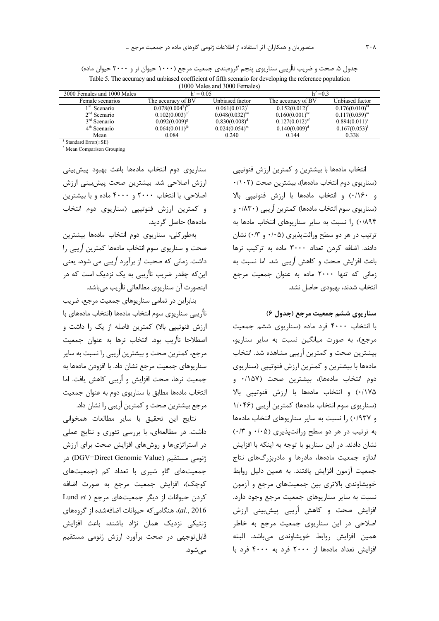| TOOO Males and 3000 Females) |                     |                     |                     |                        |  |
|------------------------------|---------------------|---------------------|---------------------|------------------------|--|
| 3000 Females and 1000 Males  | $h^2 = 0.05$        |                     | $h^2 = 0.3$         |                        |  |
| Female scenarios             | The accuracy of BV  | Unbiased factor     | The accuracy of BV  | Unbiased factor        |  |
| 1 SU<br>Scenario             | $0.078(0.0045)h*$   | $0.061(0.012)^1$    | $0.152(0.012)^{c}$  | $0.176(0.010)^{kl}$    |  |
| $2nd$ Scenario               | $0.102(0.003)^{et}$ | $0.048(0.032)^{lm}$ | $0.160(0.001)^{bc}$ | $0.117(0.059)^m$       |  |
| $3rd$ Scenario               | $0.092(0.009)^{8}$  | $0.830(0.008)^d$    | $0.127(0.012)^{ct}$ | $0.894(0.011)^{\circ}$ |  |
| $4th$ Scenario               | $0.064(0.011)^{k}$  | $0.024(0.054)^m$    | $0.140(0.009)^d$    | $0.167(0.053)^1$       |  |
| Mean                         | 0.084               | 0.240               | 0.144               | 0.338                  |  |

جدول ۵. صحت و ضریب نااُریبی سناریوی پنجم گروهبندی جمعیت مرجع (۱۰۰۰ حیوان نر و ۳۰۰۰ حیوان ماده) Table 5. The accuracy and unbiased coefficient of fifth scenario for developing the reference population

<sup>\$</sup> Standard Error(±SE)

\* Mean Comparison Grouping

سناريوى دوم انتخاب مادهها باعث بهبود پيشبيني ارزش اصلاحی شد. بیشترین صحت پیشبینی ارزش اصلاحی، با انتخاب ۲۰۰۰ و ۴۰۰۰ ماده و با بیشترین و کمترین ارزش فنوتیپی (سناریوی دوم انتخاب مادەھا) حاصل گرديد.

بهطور كلي، سناريوي دوم انتخاب مادهها بيشترين صحت و سناریوی سوم انتخاب مادهها کمترین اُریبی را داشت. زمانی که صحبت از برآورد اُریبی می شود، یعنی این که چقدر ضریب نااُریبی به یک نزدیک است که در اینصورت آن سناریوی مطالعاتی نااُریب میباشد.

بنابراین در تمامی سناریوهای جمعیت مرجع، ضریب نااُريبي سناريوي سوم انتخاب مادهها (انتخاب مادههاي با ارزش فنوتییی بالا) کمترین فاصله از یک را داشت و اصطلاحا نااُريب بود. انتخاب نرها به عنوان جمعيت مرجع، کمترین صحت و بیشترین اُریبی را نسبت به سایر سناریوهای جمعیت مرجع نشان داد. با افزودن مادهها به جمعیت نرها، صحت افزایش و اُریبی کاهش یافت. اما انتخاب مادهها مطابق با سناریوی دوم به عنوان جمعیت مرجع بیشترین صحت و کمترین اُریبی را نشان داد.

نتايج اين تحقيق با ساير مطالعات همخواني داشت. در مطالعهای، با بررسی تئوری و نتایج عملی در استراتژیها و روشهای افزایش صحت برای ارزش ژنومی مستقیم (DGV=Direct Genomic Value) در جمعیتهای گاو شیری با تعداد کم (جمعیتهای كوچك)، افزايش جمعيت مرجع به صورت اضافه Lund et ) كردن حيوانات از ديگر جمعيتهاي مرجع ( Lund et al., 2016)، هنگامی که حیوانات اضافهشده از گروههای ژنتیکی نزدیک همان نژاد باشند، باعث افزایش قابل توجهی در صحت برآورد ارزش ژنومی مستقیم مے شود.

انتخاب مادهها با بیشترین و کمترین ارزش فنوتییی (سناریوی دوم انتخاب مادهها)، بیشترین صحت (۰/۱۰۲ و ١/١۶٠) و انتخاب مادهها با ارزش فنوتيپي بالا (سناریوی سوم انتخاب مادهها) کمترین اُریبی (۸۳۰+۰ ٠/٨٩۴) ,ا نسبت به ساير سناريوهاى انتخاب مادها به ترتیب در هر دو سطح وراثتپذیری (۰/۰۵ و ۰/۳) نشان دادند. اضافه کردن تعداد ۳۰۰۰ ماده به ترکیب نرها باعث افزایش صحت و کاهش اُریبی شد. اما نسبت به زمانی که تنها ۲۰۰۰ ماده به عنوان جمعیت مرجع انتخاب شدند، بهبودی حاصل نشد.

سناريوي ششم جمعيت مرجع (جدول ۶)

با انتخاب ۴۰۰۰ فرد ماده (سناریوی ششم جمعیت مرجع)، به صورت میانگین نسبت به سایر سناریو، بيشترين صحت و كمترين أريبي مشاهده شد. انتخاب مادهها با بیشترین و کمترین ارزش فنوتیپی (سناریوی دوم انتخاب مادهها)، بیشترین صحت (۱۵۷/۰ و ۰/۱۷۵) و انتخاب مادهها با ارزش فنوتیپی بالا (سناریوی سوم انتخاب مادهها) کمترین اُریبی (۱/۰۴۶ و ۰/۹۳۷) را نسبت به سایر سناریوهای انتخاب مادهها به ترتیب در هر دو سطح وراثتیذیری (۰/۰۵ و ۰/۳) نشان دادند. در این سناریو با توجه به اینکه با افزایش اندازه جمعیت مادهها، مادرها و مادربزرگهای نتاج جمعیت آزمون افزایش یافتند. به همین دلیل روابط خویشاوندی بالاتری بین جمعیتهای مرجع و آزمون نسبت به سایر سناریوهای جمعیت مرجع وجود دارد. افزایش صحت و کاهش اُریبی پیشبینی ارزش اصلاحی در این سناریوی جمعیت مرجع به خاطر همين افزايش روابط خويشاوندي مىباشد. البته افزایش تعداد مادهها از ۲۰۰۰ فرد به ۴۰۰۰ فرد با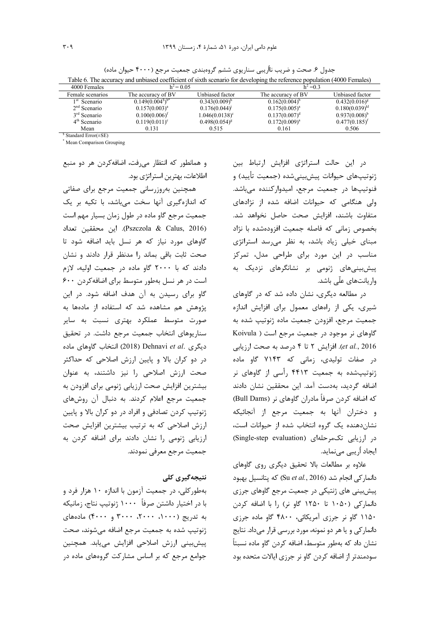| 4000 Females             | $h^2 = 0.05$       |                         | $h^2 = 0.3$        |                     |
|--------------------------|--------------------|-------------------------|--------------------|---------------------|
| Female scenarios         | The accuracy of BV | Unbiased factor         | The accuracy of BV | Unbiased factor     |
| 1 <sup>st</sup> Scenario | $0.149(0.0048)b*$  | $0.343(0.009)^h$        | $0.162(0.004)^{b}$ | $0.432(0.016)^{s}$  |
| $2nd$ Scenario           | $0.157(0.003)^{a}$ | 0.176(0.044)            | $0.175(0.005)^{a}$ | $0.180(0.039)^{kl}$ |
| $3rd$ Scenario           | $0.100(0.006)^t$   | $1.046(0.0138)^{\circ}$ | $0.137(0.007)^d$   | $0.937(0.008)^{b}$  |
| $4th$ Scenario           | $0.119(0.011)^c$   | $0.498(0.054)^{8}$      | $0.172(0.009)^{a}$ | $0.477(0.185)^t$    |
| Mean                     | 0.131              | 0.515                   | 0.161              | 0.506               |

جدول ۶. صحت و ضریب نااُریبی سناریوی ششم گروهبندی جمعیت مرجع (۴۰۰۰ حیوان ماده) Table 6. The accuracy and unbiased coefficient of sixth scenario for developing the reference population (4000 Females)

<sup>\$</sup> Standard Error(+SE)

\* Mean Comparison Grouping

و همانطور که انتظار می فت، اضافهکردن هر دو منبع اطلاعات، بهترين استراتژي بود.

همچنین بهروزرسانی جمعیت مرجع برای صفاتی که اندازهگیری آنها سخت میباشد، با تکیه بر یک جمعیت مرجع گاو ماده در طول زمان بسیار مهم است (Pszczola & Calus, 2016). این محققین تعداد گاوهای مورد نیاز که هر نسل باید اضافه شود تا صحت ثابت باقی بماند ,ا مدنظر قرار دادند و نشان دادند که با ۲۰۰۰ گاو ماده در جمعیت اولیه، لازم است در هر نسل بهطور متوسط برای اضافه کردن ۶۰۰ گاو برای رسیدن به آن هدف اضافه شود. در این پژوهش هم مشاهده شد که استفاده از مادهها به صورت متوسط عملکرد بهتری نسبت به سایر سناریوهای انتخاب جمعیت مرجع داشت. در تحقیق دیگری .Dehnavi et al (2018) انتخاب گاوهای ماده در دو کران بالا و پایین ارزش اصلاحی که حداکثر صحت ارزش اصلاحی را نیز داشتند، به عنوان بیشترین افزایش صحت ارزیابی ژنومی برای افزودن به جمعیت مرجع اعلام کردند. به دنبال آن روشهای ژنوتیپ کردن تصادفی و افراد در دو کران بالا و پایین ارزش اصلاحی که به ترتیب بیشترین افزایش صحت ارزیابی ژنومی را نشان دادند برای اضافه کردن به جمعیت مرجع معرفی نمودند.

# نتیجەگیرى كلى

بهطورکلی، در جمعیت آزمون با اندازه ۱۰ هزار فرد و با در اختیار داشتن صرفاً ۱۰۰۰ ژنوتیپ نتاج، زمانیکه به تدریج (۱۰۰۰، ۲۰۰۰، ۳۰۰۰ و ۴۰۰۰) مادههای ژنوتیپ شده به جمعیت مرجع اضافه می شوند، صحت پیش بینی ارزش اصلاحی افزایش می یابد. همچنین جوامع مرجع که بر اساس مشارکت گروههای ماده در

در این حالت استراتژی افزایش ارتباط بین ژنوتیپهای حیوانات پیشبینیشده (جمعیت تأیید) و فنوتيپها در جمعيت مرجع، اميدواركننده مىباشد. ولی هنگامی که حیوانات اضافه شده از نژادهای متفاوت باشند، افزایش صحت حاصل نخواهد شد. بخصوص زمانی که فاصله جمعیت افزودهشده با نژاد مبنای خیلی زیاد باشد، به نظر میرسد استراتژی مناسب در این مورد برای طراحی مدل، تمرکز پیشبینی های ژنومی بر نشانگرهای نزدیک به واریانتھای علّی باشد.

در مطالعه دیگری، نشان داده شد که در گاوهای شیری، یکی از راههای معمول برای افزایش اندازه جمعيت مرجع، افزودن جمعيت ماده ژنوتيپ شده به گاوهای نر موجود در جمعیت مرجع است ( Koivula et al., 2016). افزایش ٢ تا ۴ درصد به صحت ارزیابی در صفات تولیدی، زمانی که ۷۱۴۳ گاو ماده ژنوتیپشده به جمعیت ۴۴۱۳ رأسی از گاوهای نر اضافه گردید، بهدست آمد. این محققین نشان دادند كه اضافه كردن صرفاً مادران گاوهاي نر (Bull Dams) و دختران آنها به جمعیت مرجع از آنجائیکه نشان دهنده یک گروه انتخاب شده از حیوانات است، در ارزیابی تکمرحلهای (Single-step evaluation) ایجاد اُ<sub>ر</sub>یبی مینماید.

علاوه بر مطالعات بالا تحقیق دیگری روی گاوهای دانمار کی انجام شد (Su et al., 2016) که پتانسیل بهبود پیش بینی های ژنتیکی در جمعیت مرجع گاوهای جرزی دانمارکی (۱۰۵۰ تا ۱۲۵۰ گاو نر) را با اضافه کردن ۱۱۵۰ گاو نر جرزی آمریکائی، ۴۸۰۰ گاو ماده جرزی دانمارکی و یا هر دو نمونه، مورد بررسی قرار میداد. نتایج نشان داد که بهطور متوسط، اضافه کردن گاو ماده نسبتاً سودمندتر از اضافه کردن گاو نر جرزی ایالات متحده بود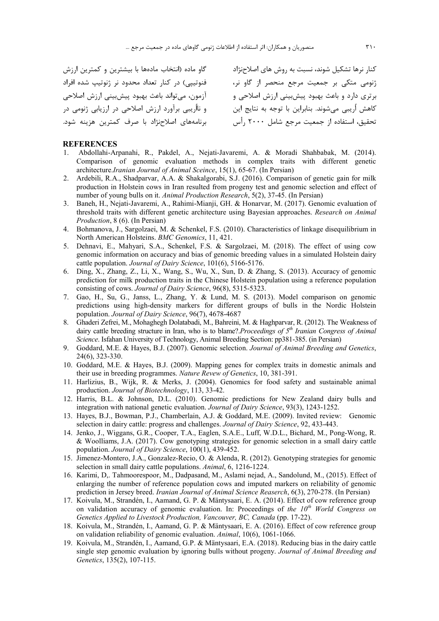| گاو ماده (انتخاب مادهها با بیشترین و کمترین ارزش  |  |
|---------------------------------------------------|--|
| فنوتیپی) در کنار تعداد محدود نر ژنوتیپ شده افراد  |  |
| آزمون، ميتواند باعث بهبود پيشبيني ارزش اصلاحي     |  |
| و نااُریبی برآورد ارزش اصلاحی در ارزیابی ژنومی در |  |
| برنامههای اصلاحنژاد با صرف کمترین هزینه شود.      |  |

کنار نرها تشکیل شوند، نسبت به روش های اصلاحنژاد ژنومی متکی بر جمعیت مرجع منحصر از گاو نر، برتری دارد و باعث بهبود پیشبینی ارزش اصلاحی و كاهش أريبي ميشوند. بنابراين با توجه به نتايج اين نحقیق، استفاده از جمعیت مرجع شامل ۲۰۰۰ رأس

#### **REFERENCES**

- 1. Abdollahi-Arpanahi, R., Pakdel, A., Nejati-Javaremi, A. & Moradi Shahbabak, M. (2014). Comparison of genomic evaluation methods in complex traits with different genetic architecture.*Iranian Journal of Animal Sceince*, 15(1), 65-67. (In Persian)
- 2. Ardebili, R.A., Shadparvar, A.A. & Shakalgorabi, S.J. (2016). Comparison of genetic gain for milk production in Holstein cows in Iran resulted from progeny test and genomic selection and effect of number of young bulls on it. *Animal Production Research*, 5(2), 37-45. (In Persian)
- 3. Baneh, H., Nejati-Javaremi, A., Rahimi-Mianji, GH. & Honarvar, M. (2017). Genomic evaluation of threshold traits with different genetic architecture using Bayesian approaches. *Research on Animal Production*, 8 (6). (In Persian)
- 4. Bohmanova, J., Sargolzaei, M. & Schenkel, F.S. (2010). Characteristics of linkage disequilibrium in North American Holsteins. *BMC Genomics*, 11, 421.
- 5. Dehnavi, E., Mahyari, S.A., Schenkel, F.S. & Sargolzaei, M. (2018). The effect of using cow genomic information on accuracy and bias of genomic breeding values in a simulated Holstein dairy cattle population. *Journal of Dairy Science*, 101(6), 5166-5176.
- 6. Ding, X., Zhang, Z., Li, X., Wang, S., Wu, X., Sun, D. & Zhang, S. (2013). Accuracy of genomic prediction for milk production traits in the Chinese Holstein population using a reference population consisting of cows. *Journal of Dairy Science*, 96(8), 5315-5323.
- 7. Gao, H., Su, G., Janss, L., Zhang, Y. & Lund, M. S. (2013). Model comparison on genomic predictions using high-density markers for different groups of bulls in the Nordic Holstein population. *Journal of Dairy Science*, 96(7), 4678-4687
- 8. Ghaderi Zefrei, M., Mohaghegh Dolatabadi, M., Bahreini, M. & Haghparvar, R. (2012). The Weakness of dairy cattle breeding structure in Iran, who is to blame?.*Proceedings of 5th Iranian Congress of Animal Science*. Isfahan University of Technology, Animal Breeding Section: pp381-385. (in Persian)
- 9. Goddard, M.E. & Hayes, B.J. (2007). Genomic selection. *Journal of Animal Breeding and Genetics*, 24(6), 323-330.
- 10. Goddard, M.E. & Hayes, B.J. (2009). Mapping genes for complex traits in domestic animals and their use in breeding programmes. *Nature Revew of Genetics*, 10, 381-391.
- 11. Harlizius, B., Wijk, R. & Merks, J. (2004). Genomics for food safety and sustainable animal production. *Journal of Biotechnology*, 113, 33-42.
- 12. Harris, B.L. & Johnson, D.L. (2010). Genomic predictions for New Zealand dairy bulls and integration with national genetic evaluation. *Journal of Dairy Science*, 93(3), 1243-1252.
- 13. Hayes, B.J., Bowman, P.J., Chamberlain, A.J. & Goddard, M.E. (2009). Invited review: Genomic selection in dairy cattle: progress and challenges. *Journal of Dairy Science*, 92, 433-443.
- 14. Jenko, J., Wiggans, G.R., Cooper, T.A., Eaglen, S.A.E., Luff, W.D.L., Bichard, M., Pong-Wong, R. & Woolliams, J.A. (2017). Cow genotyping strategies for genomic selection in a small dairy cattle population. *Journal of Dairy Science*, 100(1), 439-452.
- 15. Jimenez-Montero, J.A., Gonzalez-Recio, O. & Alenda, R. (2012). Genotyping strategies for genomic selection in small dairy cattle populations. *Animal*, 6, 1216-1224.
- 16. Karimi, D,. Tahmoorespoor, M., Dadpasand, M., Aslami nejad, A., Sandolund, M., (2015). Effect of enlarging the number of reference population cows and imputed markers on reliability of genomic prediction in Jersey breed. *Iranian Journal of Animal Science Reaserch*, 6(3), 270-278. (In Persian)
- 17. Koivula, M., Strandén, I., Aamand, G. P. & Mäntysaari, E. A. (2014). Effect of cow reference group on validation accuracy of genomic evaluation. In: Proceedings of *the 10th World Congress on Genetics Applied to Livestock Production, Vancouver, BC, Canada* (pp. 17-22).
- 18. Koivula, M., Strandén, I., Aamand, G. P. & Mäntysaari, E. A. (2016). Effect of cow reference group on validation reliability of genomic evaluation. *Animal*, 10(6), 1061-1066.
- 19. Koivula, M., Strandén, I., Aamand, G.P. & Mäntysaari, E.A. (2018). Reducing bias in the dairy cattle single step genomic evaluation by ignoring bulls without progeny. *Journal of Animal Breeding and Genetics*, 135(2), 107-115.